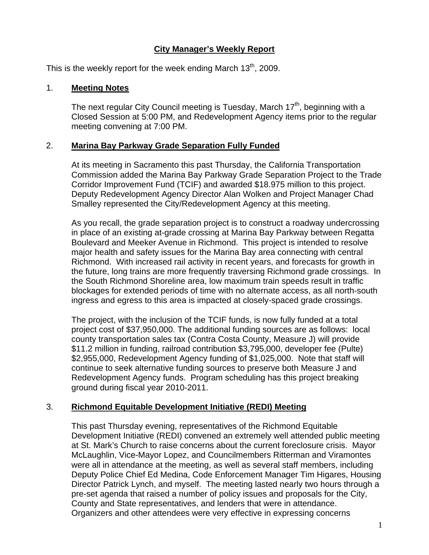# **City Manager's Weekly Report**

This is the weekly report for the week ending March  $13<sup>th</sup>$ , 2009.

#### 1. **Meeting Notes**

The next regular City Council meeting is Tuesday, March  $17<sup>th</sup>$ , beginning with a Closed Session at 5:00 PM, and Redevelopment Agency items prior to the regular meeting convening at 7:00 PM.

#### 2. **Marina Bay Parkway Grade Separation Fully Funded**

At its meeting in Sacramento this past Thursday, the California Transportation Commission added the Marina Bay Parkway Grade Separation Project to the Trade Corridor Improvement Fund (TCIF) and awarded \$18.975 million to this project. Deputy Redevelopment Agency Director Alan Wolken and Project Manager Chad Smalley represented the City/Redevelopment Agency at this meeting.

As you recall, the grade separation project is to construct a roadway undercrossing in place of an existing at-grade crossing at Marina Bay Parkway between Regatta Boulevard and Meeker Avenue in Richmond. This project is intended to resolve major health and safety issues for the Marina Bay area connecting with central Richmond. With increased rail activity in recent years, and forecasts for growth in the future, long trains are more frequently traversing Richmond grade crossings. In the South Richmond Shoreline area, low maximum train speeds result in traffic blockages for extended periods of time with no alternate access, as all north-south ingress and egress to this area is impacted at closely-spaced grade crossings.

The project, with the inclusion of the TCIF funds, is now fully funded at a total project cost of \$37,950,000. The additional funding sources are as follows: local county transportation sales tax (Contra Costa County, Measure J) will provide \$11.2 million in funding, railroad contribution \$3,795,000, developer fee (Pulte) \$2,955,000, Redevelopment Agency funding of \$1,025,000. Note that staff will continue to seek alternative funding sources to preserve both Measure J and Redevelopment Agency funds. Program scheduling has this project breaking ground during fiscal year 2010-2011.

# 3. **Richmond Equitable Development Initiative (REDI) Meeting**

This past Thursday evening, representatives of the Richmond Equitable Development Initiative (REDI) convened an extremely well attended public meeting at St. Mark's Church to raise concerns about the current foreclosure crisis. Mayor McLaughlin, Vice-Mayor Lopez, and Councilmembers Ritterman and Viramontes were all in attendance at the meeting, as well as several staff members, including Deputy Police Chief Ed Medina, Code Enforcement Manager Tim Higares, Housing Director Patrick Lynch, and myself. The meeting lasted nearly two hours through a pre-set agenda that raised a number of policy issues and proposals for the City, County and State representatives, and lenders that were in attendance. Organizers and other attendees were very effective in expressing concerns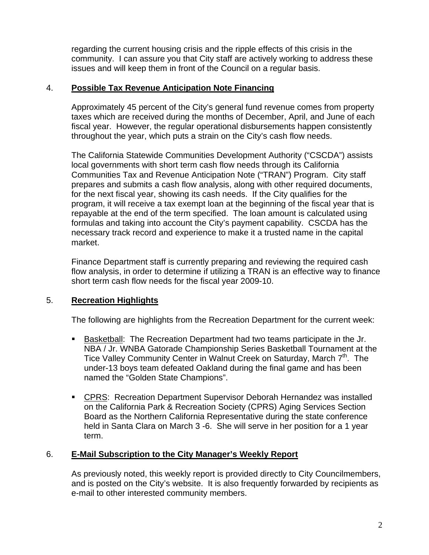regarding the current housing crisis and the ripple effects of this crisis in the community. I can assure you that City staff are actively working to address these issues and will keep them in front of the Council on a regular basis.

# 4. **Possible Tax Revenue Anticipation Note Financing**

Approximately 45 percent of the City's general fund revenue comes from property taxes which are received during the months of December, April, and June of each fiscal year. However, the regular operational disbursements happen consistently throughout the year, which puts a strain on the City's cash flow needs.

The California Statewide Communities Development Authority ("CSCDA") assists local governments with short term cash flow needs through its California Communities Tax and Revenue Anticipation Note ("TRAN") Program. City staff prepares and submits a cash flow analysis, along with other required documents, for the next fiscal year, showing its cash needs. If the City qualifies for the program, it will receive a tax exempt loan at the beginning of the fiscal year that is repayable at the end of the term specified. The loan amount is calculated using formulas and taking into account the City's payment capability. CSCDA has the necessary track record and experience to make it a trusted name in the capital market.

Finance Department staff is currently preparing and reviewing the required cash flow analysis, in order to determine if utilizing a TRAN is an effective way to finance short term cash flow needs for the fiscal year 2009-10.

# 5. **Recreation Highlights**

The following are highlights from the Recreation Department for the current week:

- **Basketball: The Recreation Department had two teams participate in the Jr.** NBA / Jr. WNBA Gatorade Championship Series Basketball Tournament at the Tice Valley Community Center in Walnut Creek on Saturday, March 7<sup>th</sup>. The under-13 boys team defeated Oakland during the final game and has been named the "Golden State Champions".
- CPRS: Recreation Department Supervisor Deborah Hernandez was installed on the California Park & Recreation Society (CPRS) Aging Services Section Board as the Northern California Representative during the state conference held in Santa Clara on March 3 -6. She will serve in her position for a 1 year term.

#### 6. **E-Mail Subscription to the City Manager's Weekly Report**

As previously noted, this weekly report is provided directly to City Councilmembers, and is posted on the City's website. It is also frequently forwarded by recipients as e-mail to other interested community members.